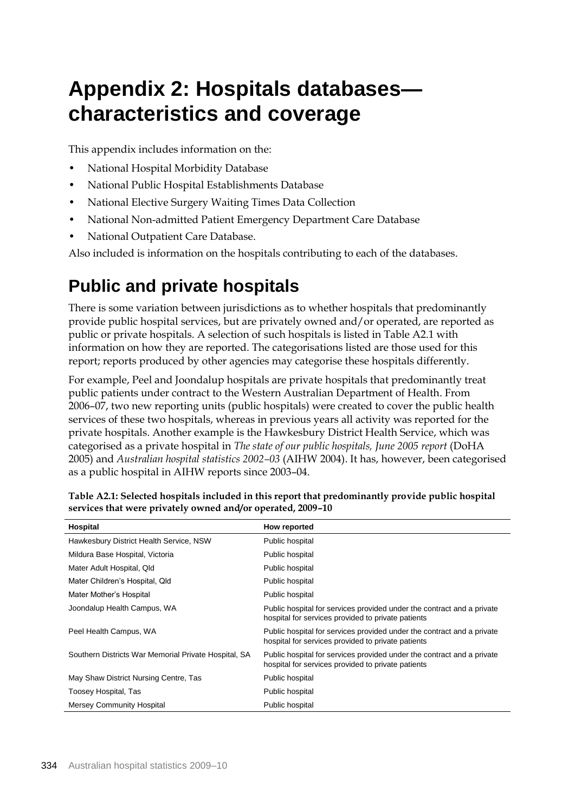# **Appendix 2: Hospitals databases characteristics and coverage**

This appendix includes information on the:

- National Hospital Morbidity Database
- National Public Hospital Establishments Database
- National Elective Surgery Waiting Times Data Collection
- National Non-admitted Patient Emergency Department Care Database
- National Outpatient Care Database.

Also included is information on the hospitals contributing to each of the databases.

### **Public and private hospitals**

There is some variation between jurisdictions as to whether hospitals that predominantly provide public hospital services, but are privately owned and/or operated, are reported as public or private hospitals. A selection of such hospitals is listed in Table A2.1 with information on how they are reported. The categorisations listed are those used for this report; reports produced by other agencies may categorise these hospitals differently.

For example, Peel and Joondalup hospitals are private hospitals that predominantly treat public patients under contract to the Western Australian Department of Health. From 2006–07, two new reporting units (public hospitals) were created to cover the public health services of these two hospitals, whereas in previous years all activity was reported for the private hospitals. Another example is the Hawkesbury District Health Service, which was categorised as a private hospital in *The state of our public hospitals, June 2005 report* (DoHA 2005) and *Australian hospital statistics 2002–03* (AIHW 2004). It has, however, been categorised as a public hospital in AIHW reports since 2003–04.

| Hospital                                             | How reported                                                                                                                 |
|------------------------------------------------------|------------------------------------------------------------------------------------------------------------------------------|
| Hawkesbury District Health Service, NSW              | Public hospital                                                                                                              |
| Mildura Base Hospital, Victoria                      | Public hospital                                                                                                              |
| Mater Adult Hospital, Qld                            | Public hospital                                                                                                              |
| Mater Children's Hospital, Qld                       | Public hospital                                                                                                              |
| Mater Mother's Hospital                              | Public hospital                                                                                                              |
| Joondalup Health Campus, WA                          | Public hospital for services provided under the contract and a private<br>hospital for services provided to private patients |
| Peel Health Campus, WA                               | Public hospital for services provided under the contract and a private<br>hospital for services provided to private patients |
| Southern Districts War Memorial Private Hospital, SA | Public hospital for services provided under the contract and a private<br>hospital for services provided to private patients |
| May Shaw District Nursing Centre, Tas                | Public hospital                                                                                                              |
| Toosey Hospital, Tas                                 | Public hospital                                                                                                              |
| Mersey Community Hospital                            | Public hospital                                                                                                              |

**Table A2.1: Selected hospitals included in this report that predominantly provide public hospital services that were privately owned and/or operated, 2009–10**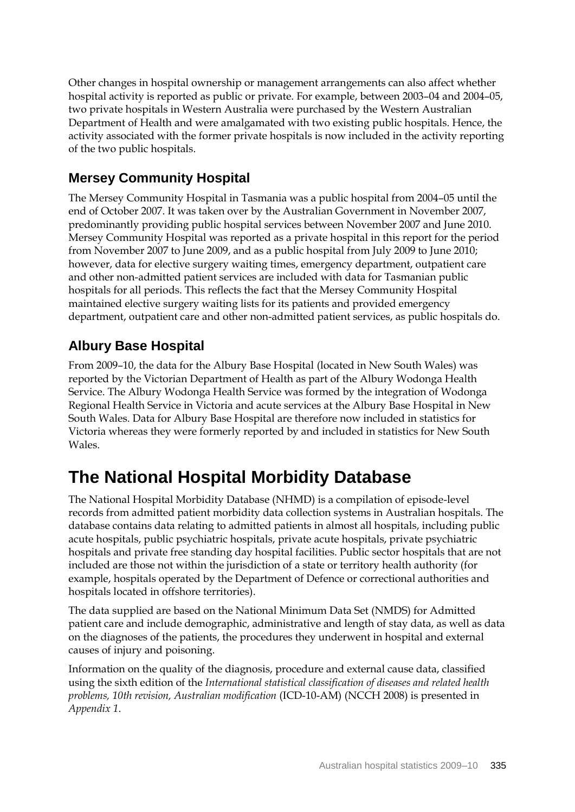Other changes in hospital ownership or management arrangements can also affect whether hospital activity is reported as public or private. For example, between 2003–04 and 2004–05, two private hospitals in Western Australia were purchased by the Western Australian Department of Health and were amalgamated with two existing public hospitals. Hence, the activity associated with the former private hospitals is now included in the activity reporting of the two public hospitals.

#### **Mersey Community Hospital**

The Mersey Community Hospital in Tasmania was a public hospital from 2004–05 until the end of October 2007. It was taken over by the Australian Government in November 2007, predominantly providing public hospital services between November 2007 and June 2010. Mersey Community Hospital was reported as a private hospital in this report for the period from November 2007 to June 2009, and as a public hospital from July 2009 to June 2010; however, data for elective surgery waiting times, emergency department, outpatient care and other non-admitted patient services are included with data for Tasmanian public hospitals for all periods. This reflects the fact that the Mersey Community Hospital maintained elective surgery waiting lists for its patients and provided emergency department, outpatient care and other non-admitted patient services, as public hospitals do.

### **Albury Base Hospital**

From 2009–10, the data for the Albury Base Hospital (located in New South Wales) was reported by the Victorian Department of Health as part of the Albury Wodonga Health Service. The Albury Wodonga Health Service was formed by the integration of Wodonga Regional Health Service in Victoria and acute services at the Albury Base Hospital in New South Wales. Data for Albury Base Hospital are therefore now included in statistics for Victoria whereas they were formerly reported by and included in statistics for New South Wales.

## **The National Hospital Morbidity Database**

The National Hospital Morbidity Database (NHMD) is a compilation of episode-level records from admitted patient morbidity data collection systems in Australian hospitals. The database contains data relating to admitted patients in almost all hospitals, including public acute hospitals, public psychiatric hospitals, private acute hospitals, private psychiatric hospitals and private free standing day hospital facilities. Public sector hospitals that are not included are those not within the jurisdiction of a state or territory health authority (for example, hospitals operated by the Department of Defence or correctional authorities and hospitals located in offshore territories).

The data supplied are based on the National Minimum Data Set (NMDS) for Admitted patient care and include demographic, administrative and length of stay data, as well as data on the diagnoses of the patients, the procedures they underwent in hospital and external causes of injury and poisoning.

Information on the quality of the diagnosis, procedure and external cause data, classified using the sixth edition of the *International statistical classification of diseases and related health problems, 10th revision, Australian modification* (ICD-10-AM) (NCCH 2008) is presented in *Appendix 1*.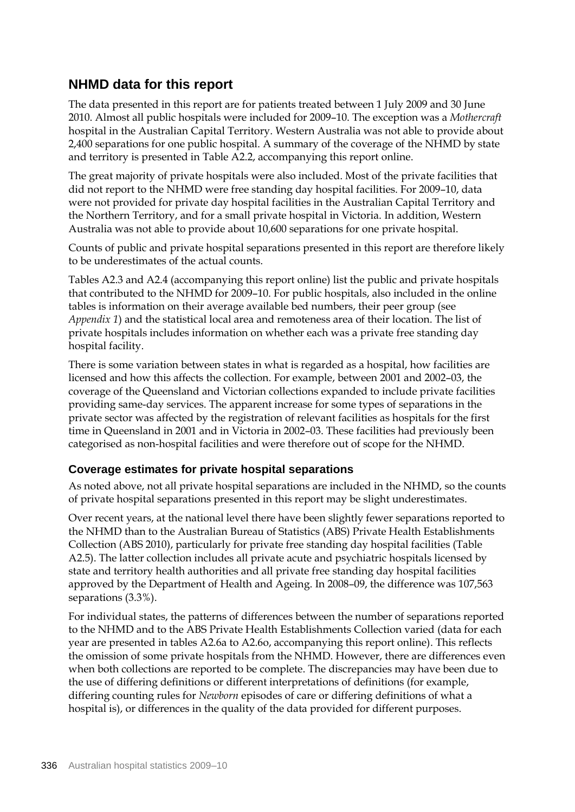#### **NHMD data for this report**

The data presented in this report are for patients treated between 1 July 2009 and 30 June 2010. Almost all public hospitals were included for 2009–10. The exception was a *Mothercraft* hospital in the Australian Capital Territory. Western Australia was not able to provide about 2,400 separations for one public hospital. A summary of the coverage of the NHMD by state and territory is presented in Table A2.2, accompanying this report online.

The great majority of private hospitals were also included. Most of the private facilities that did not report to the NHMD were free standing day hospital facilities. For 2009–10, data were not provided for private day hospital facilities in the Australian Capital Territory and the Northern Territory, and for a small private hospital in Victoria. In addition, Western Australia was not able to provide about 10,600 separations for one private hospital.

Counts of public and private hospital separations presented in this report are therefore likely to be underestimates of the actual counts.

Tables A2.3 and A2.4 (accompanying this report online) list the public and private hospitals that contributed to the NHMD for 2009–10. For public hospitals, also included in the online tables is information on their average available bed numbers, their peer group (see *Appendix 1*) and the statistical local area and remoteness area of their location. The list of private hospitals includes information on whether each was a private free standing day hospital facility.

There is some variation between states in what is regarded as a hospital, how facilities are licensed and how this affects the collection. For example, between 2001 and 2002–03, the coverage of the Queensland and Victorian collections expanded to include private facilities providing same-day services. The apparent increase for some types of separations in the private sector was affected by the registration of relevant facilities as hospitals for the first time in Queensland in 2001 and in Victoria in 2002–03. These facilities had previously been categorised as non-hospital facilities and were therefore out of scope for the NHMD.

#### **Coverage estimates for private hospital separations**

As noted above, not all private hospital separations are included in the NHMD, so the counts of private hospital separations presented in this report may be slight underestimates.

Over recent years, at the national level there have been slightly fewer separations reported to the NHMD than to the Australian Bureau of Statistics (ABS) Private Health Establishments Collection (ABS 2010), particularly for private free standing day hospital facilities (Table A2.5). The latter collection includes all private acute and psychiatric hospitals licensed by state and territory health authorities and all private free standing day hospital facilities approved by the Department of Health and Ageing. In 2008–09, the difference was 107,563 separations (3.3%).

For individual states, the patterns of differences between the number of separations reported to the NHMD and to the ABS Private Health Establishments Collection varied (data for each year are presented in tables A2.6a to A2.6o, accompanying this report online). This reflects the omission of some private hospitals from the NHMD. However, there are differences even when both collections are reported to be complete. The discrepancies may have been due to the use of differing definitions or different interpretations of definitions (for example, differing counting rules for *Newborn* episodes of care or differing definitions of what a hospital is), or differences in the quality of the data provided for different purposes.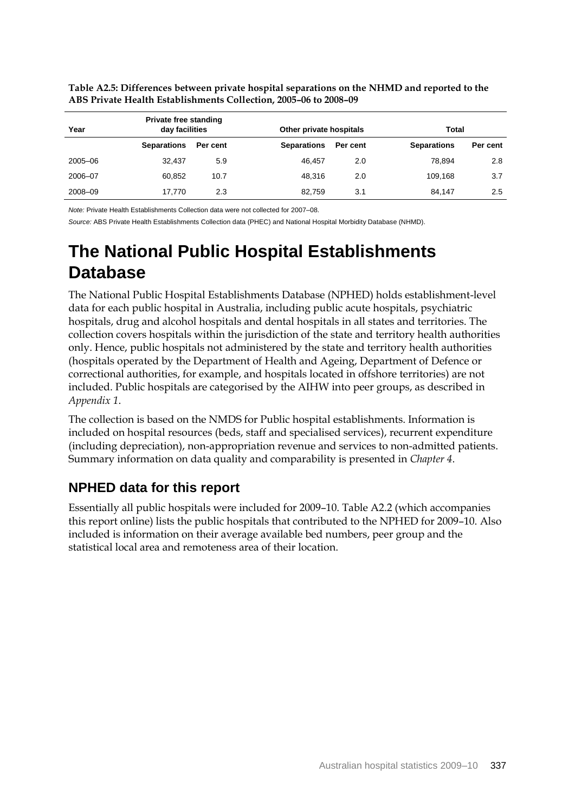| Year    | Private free standing<br>day facilities |          | Other private hospitals |          |                    | Total    |  |
|---------|-----------------------------------------|----------|-------------------------|----------|--------------------|----------|--|
|         | <b>Separations</b>                      | Per cent | <b>Separations</b>      | Per cent | <b>Separations</b> | Per cent |  |
| 2005-06 | 32.437                                  | 5.9      | 46.457                  | 2.0      | 78.894             | 2.8      |  |
| 2006-07 | 60.852                                  | 10.7     | 48.316                  | 2.0      | 109.168            | 3.7      |  |
| 2008-09 | 17.770                                  | 2.3      | 82.759                  | 3.1      | 84.147             | 2.5      |  |

**Table A2.5: Differences between private hospital separations on the NHMD and reported to the ABS Private Health Establishments Collection, 2005–06 to 2008–09**

*Note:* Private Health Establishments Collection data were not collected for 2007–08.

*Source:* ABS Private Health Establishments Collection data (PHEC) and National Hospital Morbidity Database (NHMD).

## **The National Public Hospital Establishments Database**

The National Public Hospital Establishments Database (NPHED) holds establishment-level data for each public hospital in Australia, including public acute hospitals, psychiatric hospitals, drug and alcohol hospitals and dental hospitals in all states and territories. The collection covers hospitals within the jurisdiction of the state and territory health authorities only. Hence, public hospitals not administered by the state and territory health authorities (hospitals operated by the Department of Health and Ageing, Department of Defence or correctional authorities, for example, and hospitals located in offshore territories) are not included. Public hospitals are categorised by the AIHW into peer groups, as described in *Appendix 1*.

The collection is based on the NMDS for Public hospital establishments. Information is included on hospital resources (beds, staff and specialised services), recurrent expenditure (including depreciation), non-appropriation revenue and services to non-admitted patients. Summary information on data quality and comparability is presented in *Chapter 4*.

#### **NPHED data for this report**

Essentially all public hospitals were included for 2009–10. Table A2.2 (which accompanies this report online) lists the public hospitals that contributed to the NPHED for 2009–10. Also included is information on their average available bed numbers, peer group and the statistical local area and remoteness area of their location.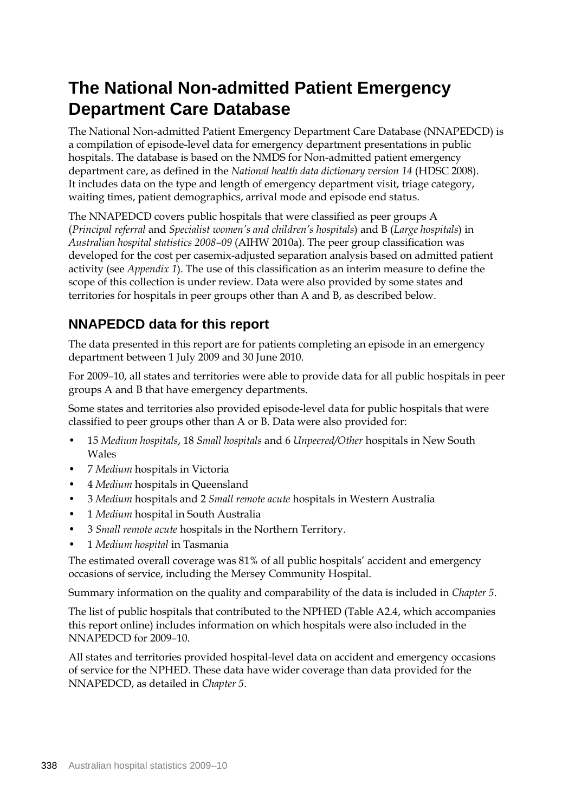### **The National Non-admitted Patient Emergency Department Care Database**

The National Non-admitted Patient Emergency Department Care Database (NNAPEDCD) is a compilation of episode-level data for emergency department presentations in public hospitals. The database is based on the NMDS for Non-admitted patient emergency department care, as defined in the *National health data dictionary version 14* (HDSC 2008). It includes data on the type and length of emergency department visit, triage category, waiting times, patient demographics, arrival mode and episode end status.

The NNAPEDCD covers public hospitals that were classified as peer groups A (*Principal referral* and *Specialist women's and children's hospitals*) and B (*Large hospitals*) in *Australian hospital statistics 2008–09* (AIHW 2010a). The peer group classification was developed for the cost per casemix-adjusted separation analysis based on admitted patient activity (see *Appendix 1*). The use of this classification as an interim measure to define the scope of this collection is under review. Data were also provided by some states and territories for hospitals in peer groups other than A and B, as described below.

#### **NNAPEDCD data for this report**

The data presented in this report are for patients completing an episode in an emergency department between 1 July 2009 and 30 June 2010.

For 2009–10, all states and territories were able to provide data for all public hospitals in peer groups A and B that have emergency departments.

Some states and territories also provided episode-level data for public hospitals that were classified to peer groups other than A or B. Data were also provided for:

- 15 *Medium hospitals*, 18 *Small hospitals* and 6 *Unpeered/Other* hospitals in New South Wales
- 7 *Medium* hospitals in Victoria
- 4 *Medium* hospitals in Queensland
- 3 *Medium* hospitals and 2 *Small remote acute* hospitals in Western Australia
- 1 *Medium* hospital in South Australia
- 3 *Small remote acute* hospitals in the Northern Territory.
- 1 *Medium hospital* in Tasmania

The estimated overall coverage was 81% of all public hospitals' accident and emergency occasions of service, including the Mersey Community Hospital.

Summary information on the quality and comparability of the data is included in *Chapter 5*.

The list of public hospitals that contributed to the NPHED (Table A2.4, which accompanies this report online) includes information on which hospitals were also included in the NNAPEDCD for 2009–10.

All states and territories provided hospital-level data on accident and emergency occasions of service for the NPHED. These data have wider coverage than data provided for the NNAPEDCD, as detailed in *Chapter 5*.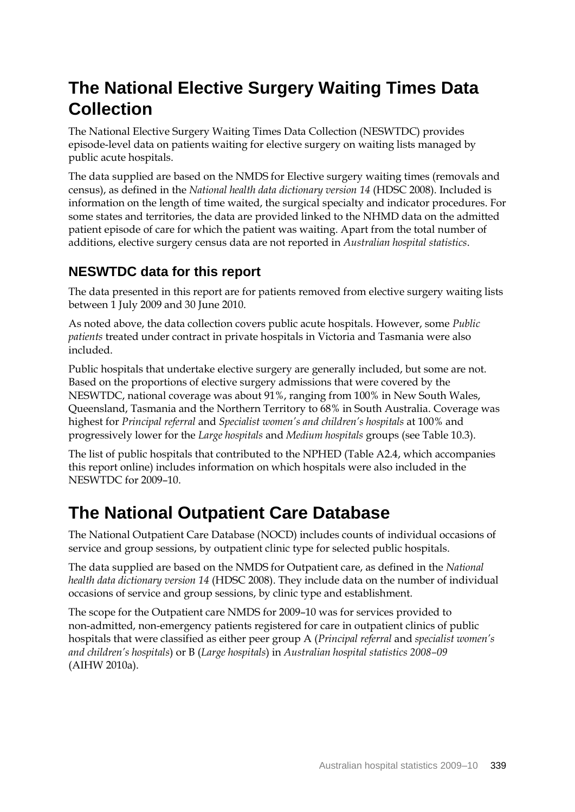### **The National Elective Surgery Waiting Times Data Collection**

The National Elective Surgery Waiting Times Data Collection (NESWTDC) provides episode-level data on patients waiting for elective surgery on waiting lists managed by public acute hospitals.

The data supplied are based on the NMDS for Elective surgery waiting times (removals and census), as defined in the *National health data dictionary version 14* (HDSC 2008). Included is information on the length of time waited, the surgical specialty and indicator procedures. For some states and territories, the data are provided linked to the NHMD data on the admitted patient episode of care for which the patient was waiting. Apart from the total number of additions, elective surgery census data are not reported in *Australian hospital statistics*.

### **NESWTDC data for this report**

The data presented in this report are for patients removed from elective surgery waiting lists between 1 July 2009 and 30 June 2010.

As noted above, the data collection covers public acute hospitals. However, some *Public patients* treated under contract in private hospitals in Victoria and Tasmania were also included.

Public hospitals that undertake elective surgery are generally included, but some are not. Based on the proportions of elective surgery admissions that were covered by the NESWTDC, national coverage was about 91%, ranging from 100% in New South Wales, Queensland, Tasmania and the Northern Territory to 68% in South Australia. Coverage was highest for *Principal referral* and *Specialist women's and children's hospitals* at 100% and progressively lower for the *Large hospitals* and *Medium hospitals* groups (see Table 10.3).

The list of public hospitals that contributed to the NPHED (Table A2.4, which accompanies this report online) includes information on which hospitals were also included in the NESWTDC for 2009–10.

### **The National Outpatient Care Database**

The National Outpatient Care Database (NOCD) includes counts of individual occasions of service and group sessions, by outpatient clinic type for selected public hospitals.

The data supplied are based on the NMDS for Outpatient care, as defined in the *National health data dictionary version 14* (HDSC 2008). They include data on the number of individual occasions of service and group sessions, by clinic type and establishment.

The scope for the Outpatient care NMDS for 2009–10 was for services provided to non-admitted, non-emergency patients registered for care in outpatient clinics of public hospitals that were classified as either peer group A (*Principal referral* and *specialist women's and children's hospitals*) or B (*Large hospitals*) in *Australian hospital statistics 2008–09* (AIHW 2010a).